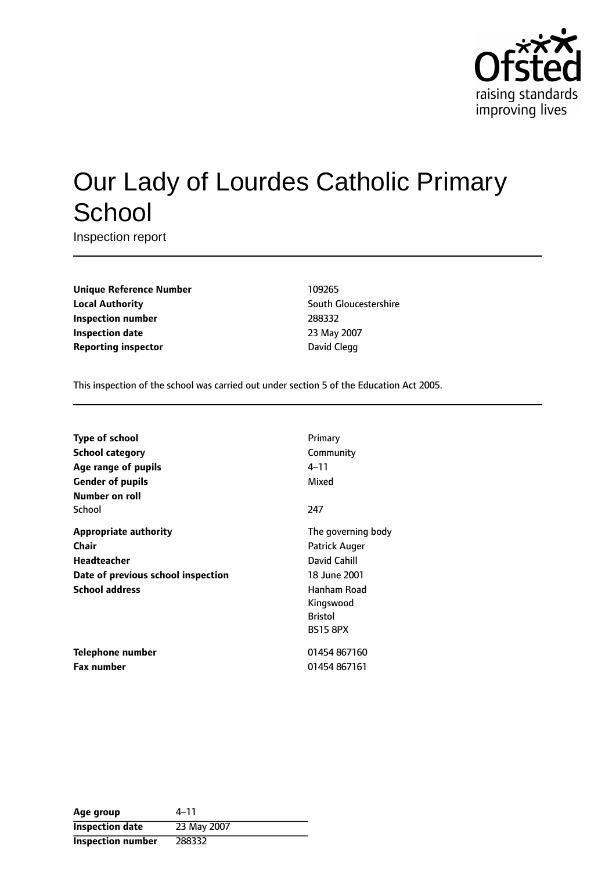

# Our Lady of Lourdes Catholic Primary **School**

Inspection report

**Unique Reference Number** 109265 **Local Authority Construction** South Gloucestershire **Inspection number** 288332 **Inspection date** 23 May 2007 **Reporting inspector CONFIDENTIAL CONTRACT CONFIDENTIAL CONTRACT DAVId Clegg** 

This inspection of the school was carried out under section 5 of the Education Act 2005.

| <b>Type of school</b>              | Primary            |  |
|------------------------------------|--------------------|--|
| <b>School category</b>             | Community          |  |
| Age range of pupils                | 4–11               |  |
| <b>Gender of pupils</b>            | Mixed              |  |
| Number on roll                     |                    |  |
| School                             | 247                |  |
| <b>Appropriate authority</b>       | The governing body |  |
| <b>Chair</b>                       | Patrick Auger      |  |
| Headteacher                        | David Cahill       |  |
| Date of previous school inspection | 18 June 2001       |  |
| <b>School address</b>              | Hanham Road        |  |
|                                    | Kingswood          |  |
|                                    | <b>Bristol</b>     |  |
|                                    | <b>BS15 8PX</b>    |  |
| Telephone number                   | 01454 867160       |  |
| <b>Fax number</b>                  | 01454 867161       |  |

| Age group              | 4–11        |
|------------------------|-------------|
| <b>Inspection date</b> | 23 May 2007 |
| Inspection number      | 288332      |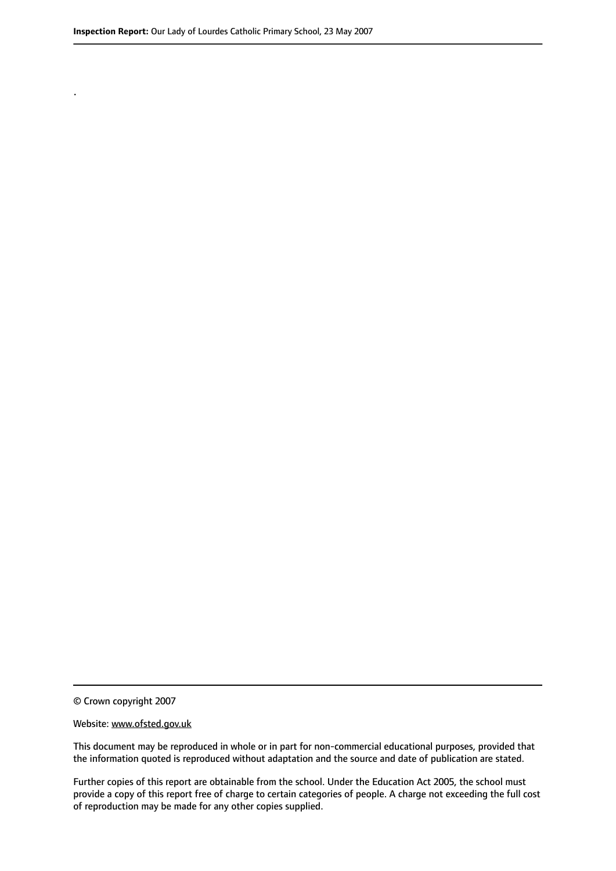.

© Crown copyright 2007

#### Website: www.ofsted.gov.uk

This document may be reproduced in whole or in part for non-commercial educational purposes, provided that the information quoted is reproduced without adaptation and the source and date of publication are stated.

Further copies of this report are obtainable from the school. Under the Education Act 2005, the school must provide a copy of this report free of charge to certain categories of people. A charge not exceeding the full cost of reproduction may be made for any other copies supplied.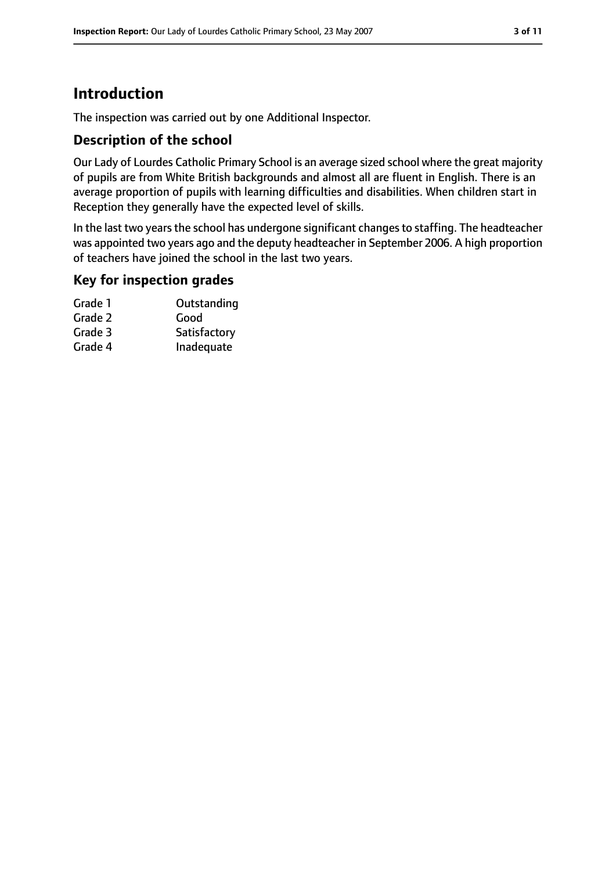# **Introduction**

The inspection was carried out by one Additional Inspector.

#### **Description of the school**

Our Lady of Lourdes Catholic Primary School is an average sized school where the great majority of pupils are from White British backgrounds and almost all are fluent in English. There is an average proportion of pupils with learning difficulties and disabilities. When children start in Reception they generally have the expected level of skills.

In the last two years the school has undergone significant changes to staffing. The headteacher was appointed two years ago and the deputy headteacher in September 2006. A high proportion of teachers have joined the school in the last two years.

#### **Key for inspection grades**

| Grade 1 | Outstanding  |
|---------|--------------|
| Grade 2 | Good         |
| Grade 3 | Satisfactory |
| Grade 4 | Inadequate   |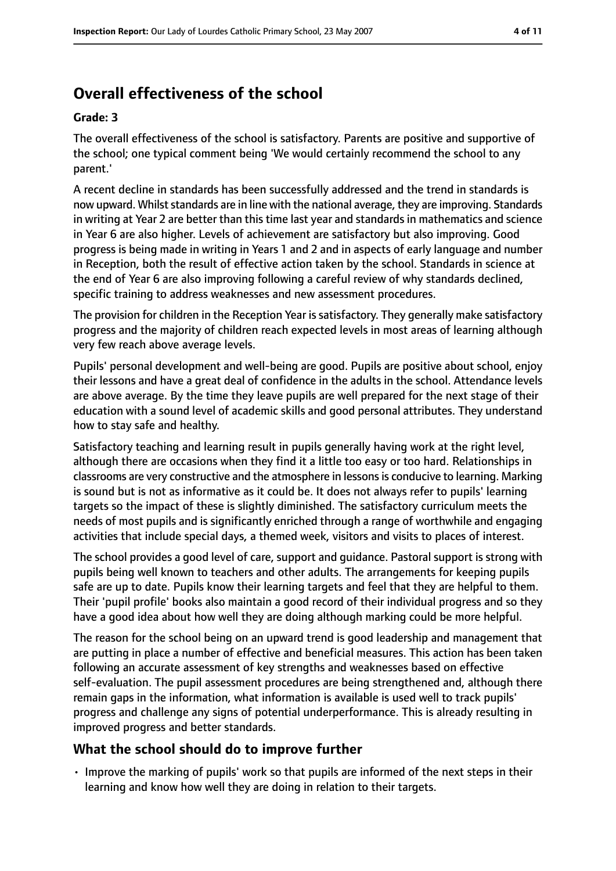# **Overall effectiveness of the school**

#### **Grade: 3**

The overall effectiveness of the school is satisfactory. Parents are positive and supportive of the school; one typical comment being 'We would certainly recommend the school to any parent.'

A recent decline in standards has been successfully addressed and the trend in standards is now upward. Whilst standards are in line with the national average, they are improving. Standards in writing at Year 2 are better than this time last year and standards in mathematics and science in Year 6 are also higher. Levels of achievement are satisfactory but also improving. Good progress is being made in writing in Years 1 and 2 and in aspects of early language and number in Reception, both the result of effective action taken by the school. Standards in science at the end of Year 6 are also improving following a careful review of why standards declined, specific training to address weaknesses and new assessment procedures.

The provision for children in the Reception Year is satisfactory. They generally make satisfactory progress and the majority of children reach expected levels in most areas of learning although very few reach above average levels.

Pupils' personal development and well-being are good. Pupils are positive about school, enjoy their lessons and have a great deal of confidence in the adults in the school. Attendance levels are above average. By the time they leave pupils are well prepared for the next stage of their education with a sound level of academic skills and good personal attributes. They understand how to stay safe and healthy.

Satisfactory teaching and learning result in pupils generally having work at the right level, although there are occasions when they find it a little too easy or too hard. Relationships in classrooms are very constructive and the atmosphere in lessons is conducive to learning. Marking is sound but is not as informative as it could be. It does not always refer to pupils' learning targets so the impact of these is slightly diminished. The satisfactory curriculum meets the needs of most pupils and is significantly enriched through a range of worthwhile and engaging activities that include special days, a themed week, visitors and visits to places of interest.

The school provides a good level of care, support and guidance. Pastoral support is strong with pupils being well known to teachers and other adults. The arrangements for keeping pupils safe are up to date. Pupils know their learning targets and feel that they are helpful to them. Their 'pupil profile' books also maintain a good record of their individual progress and so they have a good idea about how well they are doing although marking could be more helpful.

The reason for the school being on an upward trend is good leadership and management that are putting in place a number of effective and beneficial measures. This action has been taken following an accurate assessment of key strengths and weaknesses based on effective self-evaluation. The pupil assessment procedures are being strengthened and, although there remain gaps in the information, what information is available is used well to track pupils' progress and challenge any signs of potential underperformance. This is already resulting in improved progress and better standards.

## **What the school should do to improve further**

• Improve the marking of pupils' work so that pupils are informed of the next steps in their learning and know how well they are doing in relation to their targets.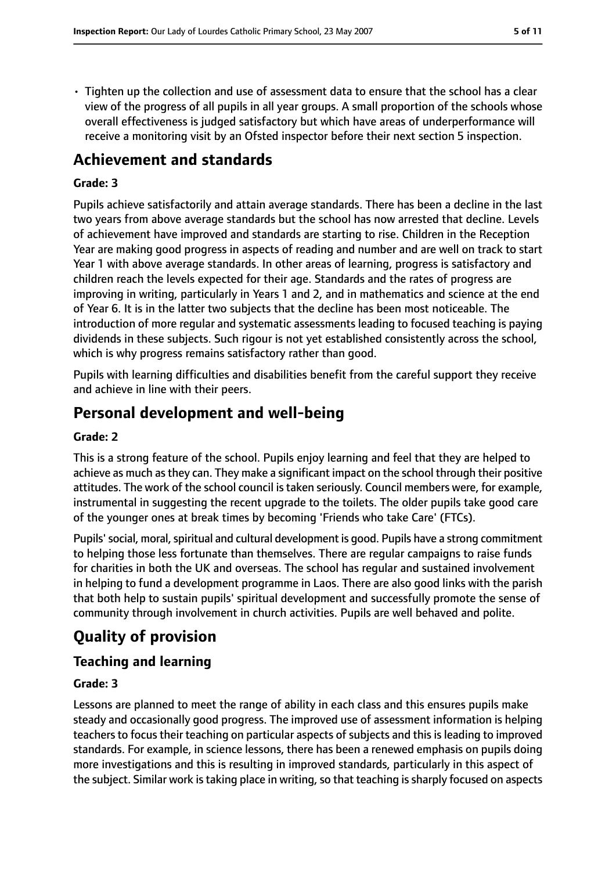• Tighten up the collection and use of assessment data to ensure that the school has a clear view of the progress of all pupils in all year groups. A small proportion of the schools whose overall effectiveness is judged satisfactory but which have areas of underperformance will receive a monitoring visit by an Ofsted inspector before their next section 5 inspection.

## **Achievement and standards**

#### **Grade: 3**

Pupils achieve satisfactorily and attain average standards. There has been a decline in the last two years from above average standards but the school has now arrested that decline. Levels of achievement have improved and standards are starting to rise. Children in the Reception Year are making good progress in aspects of reading and number and are well on track to start Year 1 with above average standards. In other areas of learning, progress is satisfactory and children reach the levels expected for their age. Standards and the rates of progress are improving in writing, particularly in Years 1 and 2, and in mathematics and science at the end of Year 6. It is in the latter two subjects that the decline has been most noticeable. The introduction of more regular and systematic assessments leading to focused teaching is paying dividends in these subjects. Such rigour is not yet established consistently across the school, which is why progress remains satisfactory rather than good.

Pupils with learning difficulties and disabilities benefit from the careful support they receive and achieve in line with their peers.

## **Personal development and well-being**

#### **Grade: 2**

This is a strong feature of the school. Pupils enjoy learning and feel that they are helped to achieve as much as they can. They make a significant impact on the school through their positive attitudes. The work of the school council is taken seriously. Council members were, for example, instrumental in suggesting the recent upgrade to the toilets. The older pupils take good care of the younger ones at break times by becoming 'Friends who take Care' (FTCs).

Pupils' social, moral, spiritual and cultural development is good. Pupils have a strong commitment to helping those less fortunate than themselves. There are regular campaigns to raise funds for charities in both the UK and overseas. The school has regular and sustained involvement in helping to fund a development programme in Laos. There are also good links with the parish that both help to sustain pupils' spiritual development and successfully promote the sense of community through involvement in church activities. Pupils are well behaved and polite.

# **Quality of provision**

## **Teaching and learning**

#### **Grade: 3**

Lessons are planned to meet the range of ability in each class and this ensures pupils make steady and occasionally good progress. The improved use of assessment information is helping teachers to focus their teaching on particular aspects of subjects and this is leading to improved standards. For example, in science lessons, there has been a renewed emphasis on pupils doing more investigations and this is resulting in improved standards, particularly in this aspect of the subject. Similar work is taking place in writing, so that teaching is sharply focused on aspects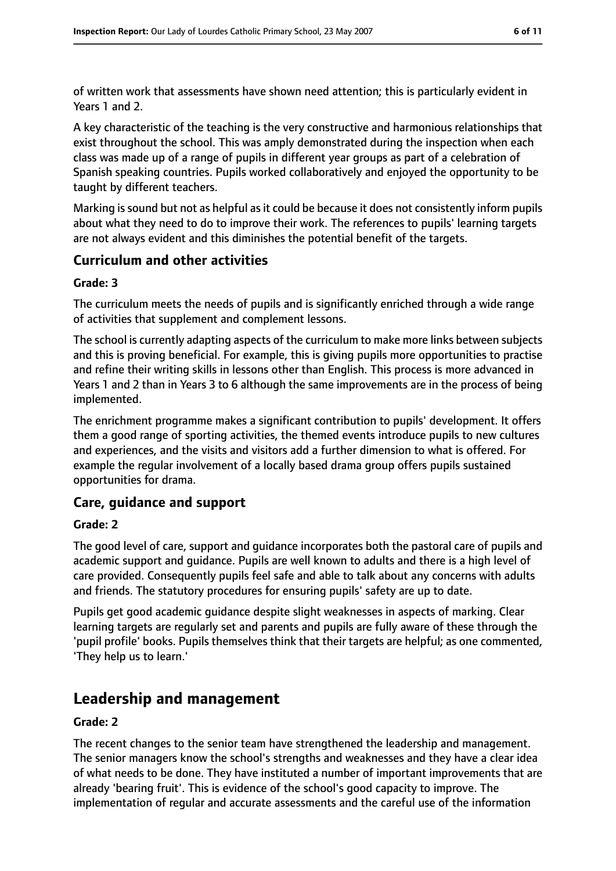of written work that assessments have shown need attention; this is particularly evident in Years 1 and 2.

A key characteristic of the teaching is the very constructive and harmonious relationships that exist throughout the school. This was amply demonstrated during the inspection when each class was made up of a range of pupils in different year groups as part of a celebration of Spanish speaking countries. Pupils worked collaboratively and enjoyed the opportunity to be taught by different teachers.

Marking is sound but not as helpful as it could be because it does not consistently inform pupils about what they need to do to improve their work. The references to pupils' learning targets are not always evident and this diminishes the potential benefit of the targets.

## **Curriculum and other activities**

#### **Grade: 3**

The curriculum meets the needs of pupils and is significantly enriched through a wide range of activities that supplement and complement lessons.

The school is currently adapting aspects of the curriculum to make more links between subjects and this is proving beneficial. For example, this is giving pupils more opportunities to practise and refine their writing skills in lessons other than English. This process is more advanced in Years 1 and 2 than in Years 3 to 6 although the same improvements are in the process of being implemented.

The enrichment programme makes a significant contribution to pupils' development. It offers them a good range of sporting activities, the themed events introduce pupils to new cultures and experiences, and the visits and visitors add a further dimension to what is offered. For example the regular involvement of a locally based drama group offers pupils sustained opportunities for drama.

## **Care, guidance and support**

#### **Grade: 2**

The good level of care, support and guidance incorporates both the pastoral care of pupils and academic support and guidance. Pupils are well known to adults and there is a high level of care provided. Consequently pupils feel safe and able to talk about any concerns with adults and friends. The statutory procedures for ensuring pupils' safety are up to date.

Pupils get good academic guidance despite slight weaknesses in aspects of marking. Clear learning targets are regularly set and parents and pupils are fully aware of these through the 'pupil profile' books. Pupils themselves think that their targets are helpful; as one commented, 'They help us to learn.'

## **Leadership and management**

#### **Grade: 2**

The recent changes to the senior team have strengthened the leadership and management. The senior managers know the school's strengths and weaknesses and they have a clear idea of what needs to be done. They have instituted a number of important improvements that are already 'bearing fruit'. This is evidence of the school's good capacity to improve. The implementation of regular and accurate assessments and the careful use of the information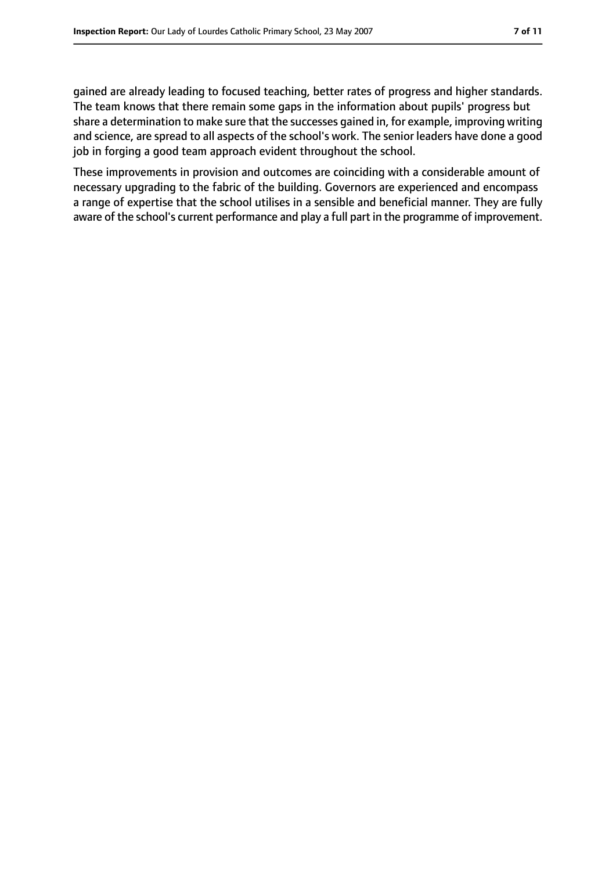gained are already leading to focused teaching, better rates of progress and higher standards. The team knows that there remain some gaps in the information about pupils' progress but share a determination to make sure that the successes gained in, for example, improving writing and science, are spread to all aspects of the school's work. The senior leaders have done a good job in forging a good team approach evident throughout the school.

These improvements in provision and outcomes are coinciding with a considerable amount of necessary upgrading to the fabric of the building. Governors are experienced and encompass a range of expertise that the school utilises in a sensible and beneficial manner. They are fully aware of the school's current performance and play a full part in the programme of improvement.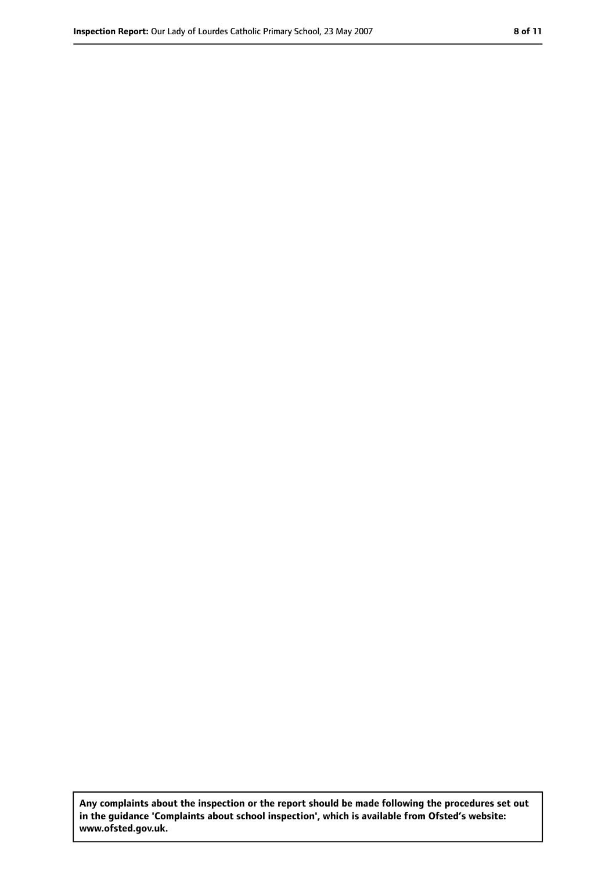**Any complaints about the inspection or the report should be made following the procedures set out in the guidance 'Complaints about school inspection', which is available from Ofsted's website: www.ofsted.gov.uk.**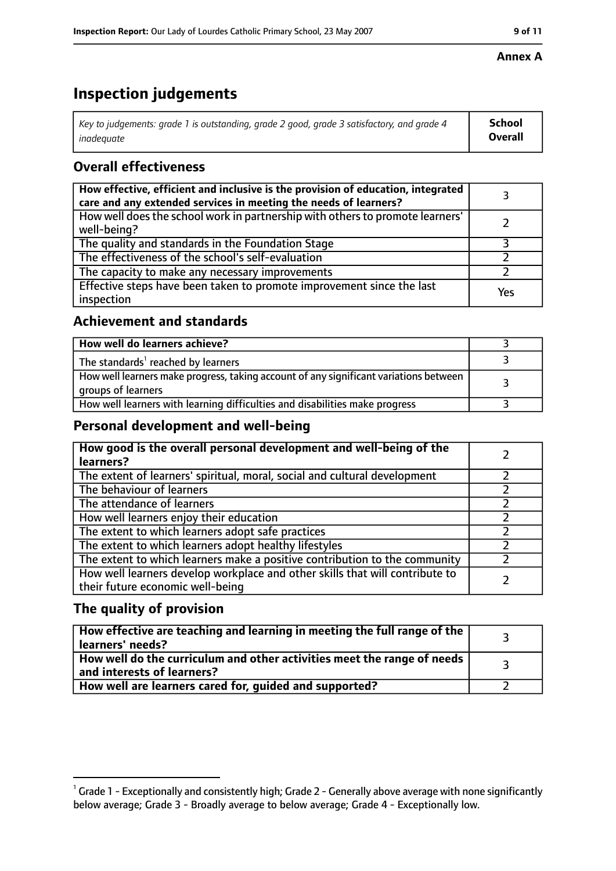#### **Annex A**

# **Inspection judgements**

| Key to judgements: grade 1 is outstanding, grade 2 good, grade 3 satisfactory, and grade 4 | School         |
|--------------------------------------------------------------------------------------------|----------------|
| inadequate                                                                                 | <b>Overall</b> |

## **Overall effectiveness**

| How effective, efficient and inclusive is the provision of education, integrated<br>care and any extended services in meeting the needs of learners? |     |
|------------------------------------------------------------------------------------------------------------------------------------------------------|-----|
| How well does the school work in partnership with others to promote learners'<br>well-being?                                                         |     |
| The quality and standards in the Foundation Stage                                                                                                    |     |
| The effectiveness of the school's self-evaluation                                                                                                    |     |
| The capacity to make any necessary improvements                                                                                                      |     |
| Effective steps have been taken to promote improvement since the last<br>inspection                                                                  | Yes |

#### **Achievement and standards**

| How well do learners achieve?                                                                               |  |
|-------------------------------------------------------------------------------------------------------------|--|
| The standards <sup>1</sup> reached by learners                                                              |  |
| How well learners make progress, taking account of any significant variations between<br>groups of learners |  |
| How well learners with learning difficulties and disabilities make progress                                 |  |

#### **Personal development and well-being**

| How good is the overall personal development and well-being of the<br>learners?                                  |  |
|------------------------------------------------------------------------------------------------------------------|--|
| The extent of learners' spiritual, moral, social and cultural development                                        |  |
| The behaviour of learners                                                                                        |  |
| The attendance of learners                                                                                       |  |
| How well learners enjoy their education                                                                          |  |
| The extent to which learners adopt safe practices                                                                |  |
| The extent to which learners adopt healthy lifestyles                                                            |  |
| The extent to which learners make a positive contribution to the community                                       |  |
| How well learners develop workplace and other skills that will contribute to<br>their future economic well-being |  |

#### **The quality of provision**

| How effective are teaching and learning in meeting the full range of the<br>learners' needs?          |  |
|-------------------------------------------------------------------------------------------------------|--|
| How well do the curriculum and other activities meet the range of needs<br>and interests of learners? |  |
| How well are learners cared for, quided and supported?                                                |  |

 $^1$  Grade 1 - Exceptionally and consistently high; Grade 2 - Generally above average with none significantly below average; Grade 3 - Broadly average to below average; Grade 4 - Exceptionally low.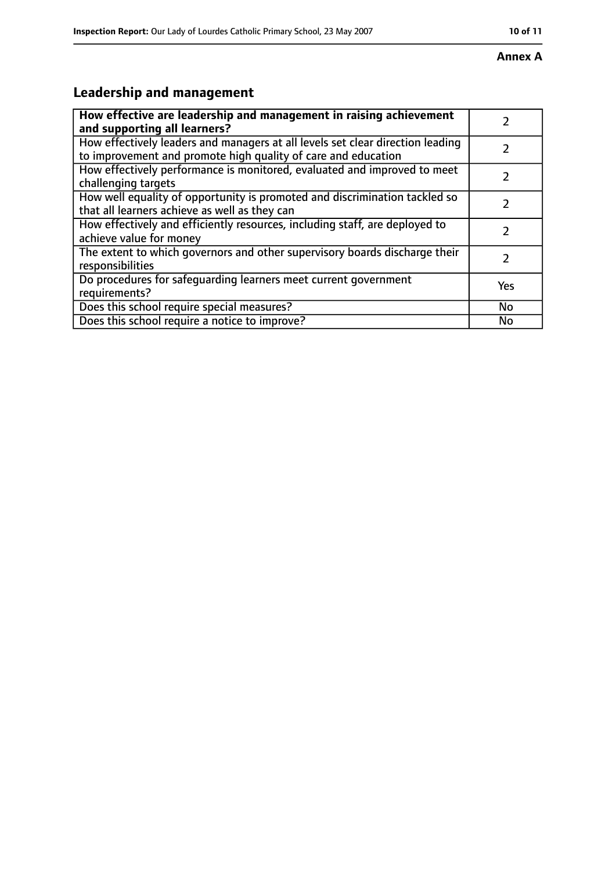#### **Annex A**

# **Leadership and management**

| How effective are leadership and management in raising achievement<br>and supporting all learners?                                              |     |
|-------------------------------------------------------------------------------------------------------------------------------------------------|-----|
| How effectively leaders and managers at all levels set clear direction leading<br>to improvement and promote high quality of care and education |     |
| How effectively performance is monitored, evaluated and improved to meet<br>challenging targets                                                 |     |
| How well equality of opportunity is promoted and discrimination tackled so<br>that all learners achieve as well as they can                     |     |
| How effectively and efficiently resources, including staff, are deployed to<br>achieve value for money                                          | 2   |
| The extent to which governors and other supervisory boards discharge their<br>responsibilities                                                  | 2   |
| Do procedures for safequarding learners meet current government<br>requirements?                                                                | Yes |
| Does this school require special measures?                                                                                                      | No  |
| Does this school require a notice to improve?                                                                                                   | No  |